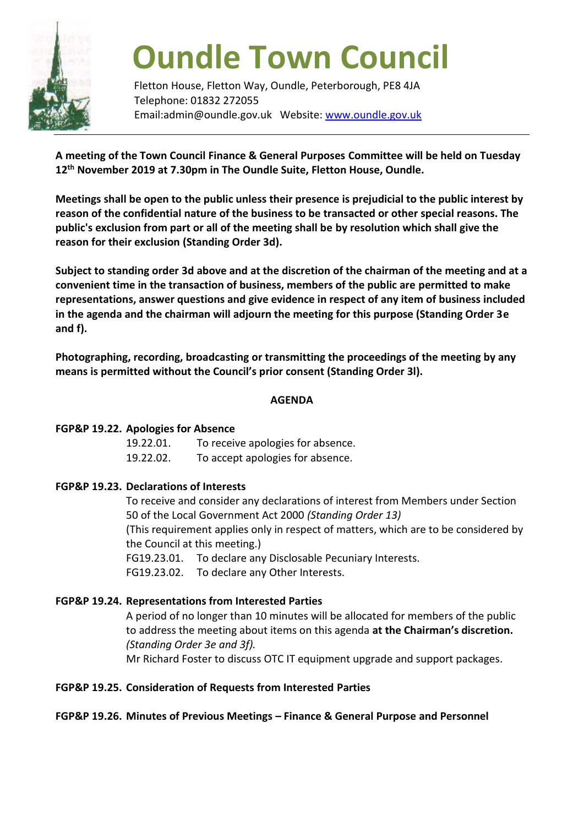

# **Oundle Town Council**

Fletton House, Fletton Way, Oundle, Peterborough, PE8 4JA Telephone: 01832 272055 Email:admin@oundle.gov.uk Website: [www.oundle.gov.uk](http://www.oundle.gov.uk/)

**A meeting of the Town Council Finance & General Purposes Committee will be held on Tuesday 12th November 2019 at 7.30pm in The Oundle Suite, Fletton House, Oundle.**

**Meetings shall be open to the public unless their presence is prejudicial to the public interest by reason of the confidential nature of the business to be transacted or other special reasons. The public's exclusion from part or all of the meeting shall be by resolution which shall give the reason for their exclusion (Standing Order 3d).**

**Subject to standing order 3d above and at the discretion of the chairman of the meeting and at a convenient time in the transaction of business, members of the public are permitted to make representations, answer questions and give evidence in respect of any item of business included in the agenda and the chairman will adjourn the meeting for this purpose (Standing Order 3e and f).**

**Photographing, recording, broadcasting or transmitting the proceedings of the meeting by any means is permitted without the Council's prior consent (Standing Order 3l).**

#### **AGENDA**

# **FGP&P 19.22. Apologies for Absence**

 19.22.01. To receive apologies for absence. 19.22.02. To accept apologies for absence.

# **FGP&P 19.23. Declarations of Interests**

To receive and consider any declarations of interest from Members under Section 50 of the Local Government Act 2000 *(Standing Order 13)* (This requirement applies only in respect of matters, which are to be considered by the Council at this meeting.) FG19.23.01. To declare any Disclosable Pecuniary Interests. FG19.23.02. To declare any Other Interests.

# **FGP&P 19.24. Representations from Interested Parties**

A period of no longer than 10 minutes will be allocated for members of the public to address the meeting about items on this agenda **at the Chairman's discretion.**  *(Standing Order 3e and 3f).* Mr Richard Foster to discuss OTC IT equipment upgrade and support packages.

# **FGP&P 19.25. Consideration of Requests from Interested Parties**

# **FGP&P 19.26. Minutes of Previous Meetings – Finance & General Purpose and Personnel**